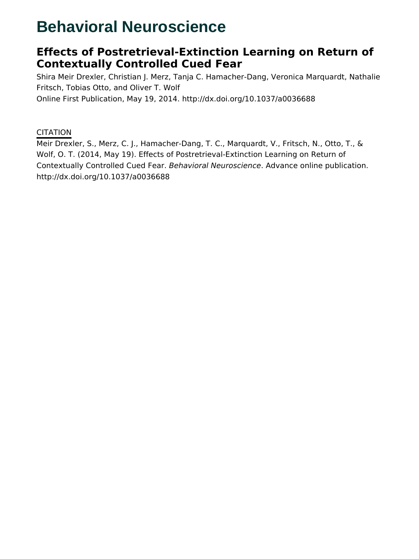# **Behavioral Neuroscience**

# **Effects of Postretrieval-Extinction Learning on Return of Contextually Controlled Cued Fear**

Shira Meir Drexler, Christian J. Merz, Tanja C. Hamacher-Dang, Veronica Marquardt, Nathalie Fritsch, Tobias Otto, and Oliver T. Wolf Online First Publication, May 19, 2014. http://dx.doi.org/10.1037/a0036688

### **CITATION**

Meir Drexler, S., Merz, C. J., Hamacher-Dang, T. C., Marquardt, V., Fritsch, N., Otto, T., & Wolf, O. T. (2014, May 19). Effects of Postretrieval-Extinction Learning on Return of Contextually Controlled Cued Fear. Behavioral Neuroscience. Advance online publication. http://dx.doi.org/10.1037/a0036688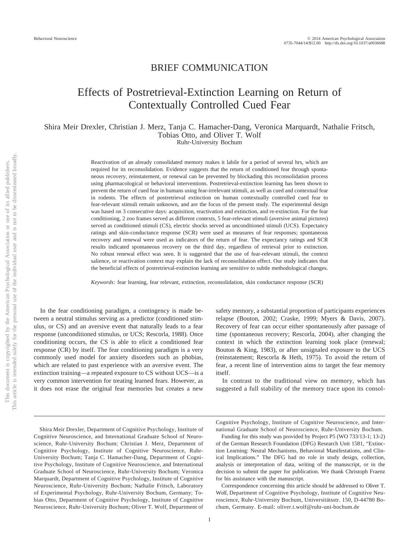### BRIEF COMMUNICATION

## Effects of Postretrieval-Extinction Learning on Return of Contextually Controlled Cued Fear

#### Shira Meir Drexler, Christian J. Merz, Tanja C. Hamacher-Dang, Veronica Marquardt, Nathalie Fritsch, Tobias Otto, and Oliver T. Wolf Ruhr-University Bochum

Reactivation of an already consolidated memory makes it labile for a period of several hrs, which are required for its reconsolidation. Evidence suggests that the return of conditioned fear through spontaneous recovery, reinstatement, or renewal can be prevented by blockading this reconsolidation process using pharmacological or behavioral interventions. Postretrieval-extinction learning has been shown to prevent the return of cued fear in humans using fear-irrelevant stimuli, as well as cued and contextual fear in rodents. The effects of postretrieval extinction on human contextually controlled cued fear to fear-relevant stimuli remain unknown, and are the focus of the present study. The experimental design was based on 3 consecutive days: acquisition, reactivation and extinction, and re-extinction. For the fear conditioning, 2 zoo frames served as different contexts, 5 fear-relevant stimuli (aversive animal pictures) served as conditioned stimuli (CS), electric shocks served as unconditioned stimuli (UCS). Expectancy ratings and skin-conductance response (SCR) were used as measures of fear responses; spontaneous recovery and renewal were used as indicators of the return of fear. The expectancy ratings and SCR results indicated spontaneous recovery on the third day, regardless of retrieval prior to extinction. No robust renewal effect was seen. It is suggested that the use of fear-relevant stimuli, the context salience, or reactivation context may explain the lack of reconsolidation effect. Our study indicates that the beneficial effects of postretrieval-extinction learning are sensitive to subtle methodological changes.

*Keywords:* fear learning, fear relevant, extinction, reconsolidation, skin conductance response (SCR)

In the fear conditioning paradigm, a contingency is made between a neutral stimulus serving as a predictor (conditioned stimulus, or CS) and an aversive event that naturally leads to a fear response (unconditioned stimulus, or UCS; Rescorla, 1988). Once conditioning occurs, the CS is able to elicit a conditioned fear response (CR) by itself. The fear conditioning paradigm is a very commonly used model for anxiety disorders such as phobias, which are related to past experience with an aversive event. The extinction training—a repeated exposure to CS without UCS—is a very common intervention for treating learned fears. However, as it does not erase the original fear memories but creates a new

safety memory, a substantial proportion of participants experiences relapse (Bouton, 2002; Craske, 1999; Myers & Davis, 2007). Recovery of fear can occur either spontaneously after passage of time (spontaneous recovery; Rescorla, 2004), after changing the context in which the extinction learning took place (renewal; Bouton & King, 1983), or after unsignaled exposure to the UCS (reinstatement; Rescorla & Heth, 1975). To avoid the return of fear, a recent line of intervention aims to target the fear memory itself.

In contrast to the traditional view on memory, which has suggested a full stability of the memory trace upon its consol-

Shira Meir Drexler, Department of Cognitive Psychology, Institute of Cognitive Neuroscience, and International Graduate School of Neuroscience, Ruhr-University Bochum; Christian J. Merz, Department of Cognitive Psychology, Institute of Cognitive Neuroscience, Ruhr-University Bochum; Tanja C. Hamacher-Dang, Department of Cognitive Psychology, Institute of Cognitive Neuroscience, and International Graduate School of Neuroscience, Ruhr-University Bochum; Veronica Marquardt, Department of Cognitive Psychology, Institute of Cognitive Neuroscience, Ruhr-University Bochum; Nathalie Fritsch, Laboratory of Experimental Psychology, Ruhr-University Bochum, Germany; Tobias Otto, Department of Cognitive Psychology, Institute of Cognitive Neuroscience, Ruhr-University Bochum; Oliver T. Wolf, Department of

Cognitive Psychology, Institute of Cognitive Neuroscience, and International Graduate School of Neuroscience, Ruhr-University Bochum.

Funding for this study was provided by Project P5 (WO 733/13-1; 13-2) of the German Research Foundation (DFG) Research Unit 1581, "Extinction Learning: Neural Mechanisms, Behavioral Manifestations, and Clinical Implications." The DFG had no role in study design, collection, analysis or interpretation of data, writing of the manuscript, or in the decision to submit the paper for publication. We thank Christoph Fraenz for his assistance with the manuscript.

Correspondence concerning this article should be addressed to Oliver T. Wolf, Department of Cognitive Psychology, Institute of Cognitive Neuroscience, Ruhr-University Bochum, Universitätsstr. 150, D-44780 Bochum, Germany. E-mail: oliver.t.wolf@ruhr-uni-bochum.de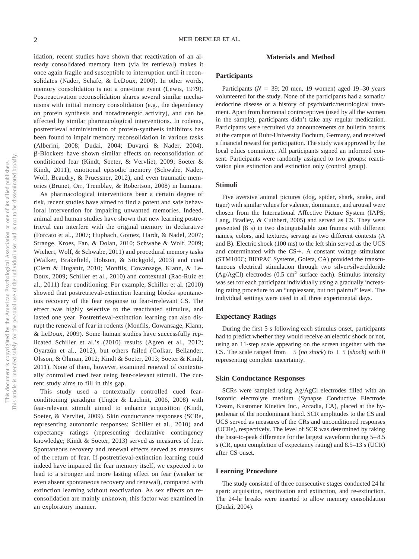idation, recent studies have shown that reactivation of an already consolidated memory item (via its retrieval) makes it once again fragile and susceptible to interruption until it reconsolidates (Nader, Schafe, & LeDoux, 2000). In other words, memory consolidation is not a one-time event (Lewis, 1979). Postreactivation reconsolidation shares several similar mechanisms with initial memory consolidation (e.g., the dependency on protein synthesis and noradrenergic activity), and can be affected by similar pharmacological interventions. In rodents, postretrieval administration of protein-synthesis inhibitors has been found to impair memory reconsolidation in various tasks (Alberini, 2008; Dudai, 2004; Duvarci & Nader, 2004). --Blockers have shown similar effects on reconsolidation of conditioned fear (Kindt, Soeter, & Vervliet, 2009; Soeter & Kindt, 2011), emotional episodic memory (Schwabe, Nader, Wolf, Beaudry, & Pruessner, 2012), and even traumatic memories (Brunet, Orr, Tremblay, & Robertson, 2008) in humans.

As pharmacological interventions bear a certain degree of risk, recent studies have aimed to find a potent and safe behavioral intervention for impairing unwanted memories. Indeed, animal and human studies have shown that new learning postretrieval can interfere with the original memory in declarative (Forcato et al., 2007; Hupbach, Gomez, Hardt, & Nadel, 2007; Strange, Kroes, Fan, & Dolan, 2010; Schwabe & Wolf, 2009; Wichert, Wolf, & Schwabe, 2011) and procedural memory tasks (Walker, Brakefield, Hobson, & Stickgold, 2003) and cued (Clem & Huganir, 2010; Monfils, Cowansage, Klann, & Le-Doux, 2009; Schiller et al., 2010) and contextual (Rao-Ruiz et al., 2011) fear conditioning. For example, Schiller et al. (2010) showed that postretrieval-extinction learning blocks spontaneous recovery of the fear response to fear-irrelevant CS. The effect was highly selective to the reactivated stimulus, and lasted one year. Postretrieval-extinction learning can also disrupt the renewal of fear in rodents (Monfils, Cowansage, Klann, & LeDoux, 2009). Some human studies have successfully replicated Schiller et al.'s (2010) results (Agren et al., 2012; Oyarzún et al., 2012), but others failed (Golkar, Bellander, Olsson, & Öhman, 2012; Kindt & Soeter, 2013; Soeter & Kindt, 2011). None of them, however, examined renewal of contextually controlled cued fear using fear-relevant stimuli. The current study aims to fill in this gap.

This study used a contextually controlled cued fearconditioning paradigm (Ungör & Lachnit, 2006, 2008) with fear-relevant stimuli aimed to enhance acquisition (Kindt, Soeter, & Vervliet, 2009). Skin conductance responses (SCRs, representing autonomic responses; Schiller et al., 2010) and expectancy ratings (representing declarative contingency knowledge; Kindt & Soeter, 2013) served as measures of fear. Spontaneous recovery and renewal effects served as measures of the return of fear. If postretrieval-extinction learning could indeed have impaired the fear memory itself, we expected it to lead to a stronger and more lasting effect on fear (weaker or even absent spontaneous recovery and renewal), compared with extinction learning without reactivation. As sex effects on reconsolidation are mainly unknown, this factor was examined in an exploratory manner.

#### **Materials and Method**

#### **Participants**

Participants ( $N = 39$ ; 20 men, 19 women) aged 19-30 years volunteered for the study. None of the participants had a somatic/ endocrine disease or a history of psychiatric/neurological treatment. Apart from hormonal contraceptives (used by all the women in the sample), participants didn't take any regular medication. Participants were recruited via announcements on bulletin boards at the campus of Ruhr-University Bochum, Germany, and received a financial reward for participation. The study was approved by the local ethics committee. All participants signed an informed consent. Participants were randomly assigned to two groups: reactivation plus extinction and extinction only (control group).

#### **Stimuli**

Five aversive animal pictures (dog, spider, shark, snake, and tiger) with similar values for valence, dominance, and arousal were chosen from the International Affective Picture System (IAPS; Lang, Bradley, & Cuthbert, 2005) and served as CS. They were presented (8 s) in two distinguishable zoo frames with different names, colors, and textures, serving as two different contexts (A and B). Electric shock (100 ms) to the left shin served as the UCS and coterminated with the  $CS +$ . A constant voltage stimulator (STM100C; BIOPAC Systems, Goleta, CA) provided the transcutaneous electrical stimulation through two silver/silverchloride (Ag/AgCl) electrodes (0.5 cm<sup>2</sup> surface each). Stimulus intensity was set for each participant individually using a gradually increasing rating procedure to an "unpleasant, but not painful" level. The individual settings were used in all three experimental days.

#### **Expectancy Ratings**

During the first 5 s following each stimulus onset, participants had to predict whether they would receive an electric shock or not, using an 11-step scale appearing on the screen together with the CS. The scale ranged from  $-5$  (*no shock*) to  $+5$  (*shock*) with 0 representing complete uncertainty.

#### **Skin Conductance Responses**

SCRs were sampled using Ag/AgCl electrodes filled with an isotonic electrolyte medium (Synapse Conductive Electrode Cream, Kustomer Kinetics Inc., Arcadia, CA), placed at the hypothenar of the nondominant hand. SCR amplitudes to the CS and UCS served as measures of the CRs and unconditioned responses (UCRs), respectively. The level of SCR was determined by taking the base-to-peak difference for the largest waveform during 5– 8.5 s (CR, upon completion of expectancy rating) and 8.5–13 s (UCR) after CS onset.

#### **Learning Procedure**

The study consisted of three consecutive stages conducted 24 hr apart: acquisition, reactivation and extinction, and re-extinction. The 24-hr breaks were inserted to allow memory consolidation (Dudai, 2004).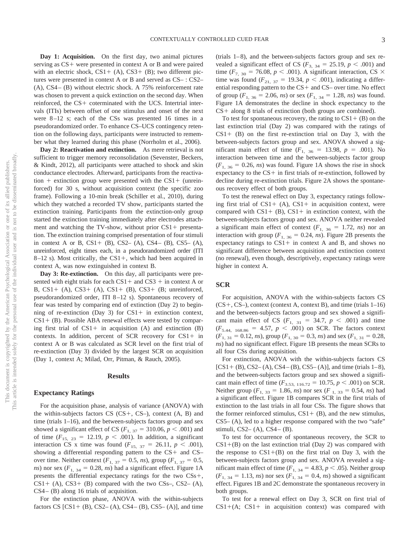**Day 1: Acquisition.** On the first day, two animal pictures serving as  $CS$  + were presented in context A or B and were paired with an electric shock,  $CS1+ (A)$ ,  $CS3+ (B)$ ; two different pictures were presented in context A or B and served as CS– : CS2– (A), CS4 – (B) without electric shock. A 75% reinforcement rate was chosen to prevent a quick extinction on the second day. When reinforced, the  $CS$  + coterminated with the UCS. Intertrial intervals (ITIs) between offset of one stimulus and onset of the next were  $8-12$  s; each of the CSs was presented 16 times in a pseudorandomized order. To enhance CS–UCS contingency retention on the following days, participants were instructed to remember what they learned during this phase (Norrholm et al., 2006).

**Day 2: Reactivation and extinction.** As mere retrieval is not sufficient to trigger memory reconsolidation (Sevenster, Beckers, & Kindt, 2012), all participants were attached to shock and skin conductance electrodes. Afterward, participants from the reactivation  $+$  extinction group were presented with the CS1  $+$  (unreinforced) for 30 s, without acquisition context (the specific zoo frame). Following a 10-min break (Schiller et al., 2010), during which they watched a recorded TV show, participants started the extinction training. Participants from the extinction-only group started the extinction training immediately after electrodes attachment and watching the TV-show, without prior  $CS1+$  presentation. The extinction training comprised presentation of four stimuli in context A or B,  $CS1+ (B)$ ,  $CS2- (A)$ ,  $CS4- (B)$ ,  $CS5- (A)$ , unreinforced, eight times each, in a pseudorandomized order (ITI  $8-12$  s). Most critically, the CS1+, which had been acquired in context A, was now extinguished in context B.

**Day 3: Re-extinction.** On this day, all participants were presented with eight trials for each  $CS1 +$  and  $CS3 +$  in context A or B,  $CS1+$  (A),  $CS3+$  (A),  $CS1+$  (B),  $CS3+$  (B; unreinforced, pseudorandomized order, ITI 8 –12 s). Spontaneous recovery of fear was tested by comparing end of extinction (Day 2) to beginning of re-extinction (Day 3) for  $CS1+$  in extinction context,  $CS1+$  (B). Possible ABA renewal effects were tested by comparing first trial of  $CS1+$  in acquisition (A) and extinction (B) contexts. In addition, percent of SCR recovery for  $CS1+$  in context A or B was calculated as SCR level on the first trial of re-extinction (Day 3) divided by the largest SCR on acquisition (Day 1, context A; Milad, Orr, Pitman, & Rauch, 2005).

#### **Results**

#### **Expectancy Ratings**

For the acquisition phase, analysis of variance (ANOVA) with the within-subjects factors  $CS$  ( $CS+$ ,  $CS-$ ), context  $(A, B)$  and time (trials 1–16), and the between-subjects factors group and sex showed a significant effect of CS ( $F_{1, 37} = 310.06$ ,  $p < .001$ ) and of time  $(F_{15, 23} = 12.19, p < .001)$ . In addition, a significant interaction CS x time was found  $(F_{15, 37} = 26.11, p < .001)$ , showing a differential responding pattern to the  $CS+$  and  $CS$ over time. Neither context ( $F_{1, 37} = 0.5$ , *ns*), group ( $F_{1, 37} = 0.5$ , *ns*) nor sex ( $F_{1, 34} = 0.28$ , *ns*) had a significant effect. Figure 1A presents the differential expectancy ratings for the two  $CSs+$ ,  $CS1+$  (A),  $CS3+$  (B) compared with the two CSs–, CS2– (A), CS4 – (B) along 16 trials of acquisition.

For the extinction phase, ANOVA with the within-subjects factors CS  $[CS1 + (B), CS2 - (A), CS4 - (B), CS5 - (A)]$ , and time

 $(trials 1-8)$ , and the between-subjects factors group and sex revealed a significant effect of CS ( $F_{3, 34} = 25.19$ ,  $p < .001$ ) and time ( $F_{7, 30}$  = 76.08,  $p < .001$ ). A significant interaction, CS  $\times$ time was found  $(F_{21, 37} = 19.34, p < .001)$ , indicating a differential responding pattern to the  $CS$  + and  $CS$ – over time. No effect of group ( $F_{1, 36} = 2.06$ , *ns*) or sex ( $F_{1, 34} = 1.28$ , *ns*) was found. Figure 1A demonstrates the decline in shock expectancy to the  $CS$  + along 8 trials of extinction (both groups are combined).

To test for spontaneous recovery, the rating to  $CS1+ (B)$  on the last extinction trial (Day 2) was compared with the ratings of  $CS1+$  (B) on the first re-extinction trial on Day 3, with the between-subjects factors group and sex. ANOVA showed a significant main effect of time  $(F_{1, 36} = 13.98, p = .001)$ . No interaction between time and the between-subjects factor group  $(F_{1, 36} = 0.26, ns)$  was found. Figure 1A shows the rise in shock expectancy to the  $CS$  + in first trials of re-extinction, followed by decline during re-extinction trials. Figure 2A shows the spontaneous recovery effect of both groups.

To test the renewal effect on Day 3, expectancy ratings following first trial of  $CS1+$  (A),  $CS1+$  in acquisition context, were compared with  $CS1+ (B)$ ,  $CS1+$  in extinction context, with the between-subjects factors group and sex. ANOVA neither revealed a significant main effect of context  $(F_{1, 36} = 1.72, ns)$  nor an interaction with group ( $F_{1, 36} = 0.24$ , *ns*). Figure 2B presents the expectancy ratings to  $CS1+$  in context A and B, and shows no significant difference between acquisition and extinction context (no renewal), even though, descriptively, expectancy ratings were higher in context A.

#### **SCR**

For acquisition, ANOVA with the within-subjects factors CS  $(CS+, CS-)$ , context (context A, context B), and time (trials  $1-16$ ) and the between-subjects factors group and sex showed a significant main effect of CS ( $F_{1, 31} = 34.7$ ,  $p < .001$ ) and time  $(F_{5.44, 168.86} = 4.57, p < .001)$  on SCR. The factors context  $(F_{1, 31} = 0.12, ns)$ , group  $(F_{1, 30} = 0.3, ns)$  and sex  $(F_{1, 31} = 0.28,$ *ns*) had no significant effect. Figure 1B presents the mean SCRs to all four CSs during acquisition.

For extinction, ANOVA with the within-subjects factors CS  $[CS1 + (B), CS2 - (A), CS4 - (B), CS5 - (A)]$ , and time (trials 1–8), and the between-subjects factors group and sex showed a significant main effect of time ( $F_{3.53, 116.72} = 10.75, p < .001$ ) on SCR. Neither group ( $F_{1, 33} = 1.86$ , *ns*) nor sex ( $F_{1, 33} = 0.54$ , *ns*) had a significant effect. Figure 1B compares SCR in the first trials of extinction to the last trials in all four CSs. The figure shows that the former reinforced stimulus,  $CS1+ (B)$ , and the new stimulus, CS5– (A), led to a higher response compared with the two "safe" stimuli, CS2–  $(A)$ , CS4–  $(B)$ .

To test for occurrence of spontaneous recovery, the SCR to  $CS1+(B)$  on the last extinction trial (Day 2) was compared with the response to  $CS1+(B)$  on the first trial on Day 3, with the between-subjects factors group and sex. ANOVA revealed a significant main effect of time ( $F_{1, 34} = 4.83, p < .05$ ). Neither group  $(F_{1, 34} = 1.13, ns)$  nor sex  $(F_{1, 34} = 0.4, ns)$  showed a significant effect. Figures 1B and 2C demonstrate the spontaneous recovery in both groups.

To test for a renewal effect on Day 3, SCR on first trial of  $CS1+(A; CS1+$  in acquisition context) was compared with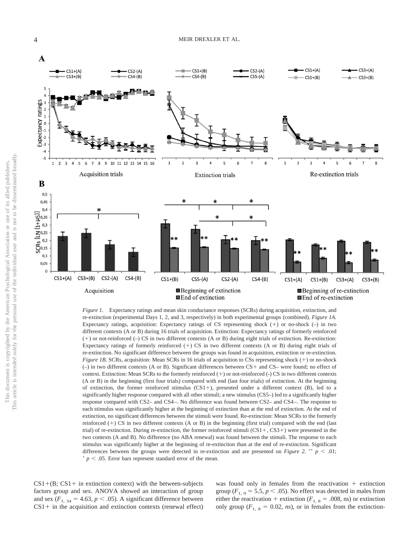

*Figure 1.* Expectancy ratings and mean skin conductance responses (SCRs) during acquisition, extinction, and re-extinction (experimental Days 1, 2, and 3, respectively) in both experimental groups (combined). *Figure 1A.* Expectancy ratings, acquisition: Expectancy ratings of CS representing shock  $(+)$  or no-shock  $(-)$  in two different contexts (A or B) during 16 trials of acquisition. Extinction: Expectancy ratings of formerly reinforced  $(+)$  or not-reinforced  $(-)$  CS in two different contexts (A or B) during eight trials of extinction. Re-extinction: Expectancy ratings of formerly reinforced  $(+)$  CS in two different contexts (A or B) during eight trials of re-extinction. No significant difference between the groups was found in acquisition, extinction or re-extinction. *Figure 1B.* SCRs, acquisition: Mean SCRs in 16 trials of acquisition to CSs representing shock (+) or no-shock  $(-)$  in two different contexts (A or B). Significant differences between  $CS+$  and  $CS-$  were found; no effect of context. Extinction: Mean SCRs to the formerly reinforced  $(+)$  or not-reinforced  $(-)$  CS in two different contexts (A or B) in the beginning (first four trials) compared with end (last four trials) of extinction. At the beginning of extinction, the former reinforced stimulus  $(CS1+)$ , presented under a different context (B), led to a significantly higher response compared with all other stimuli; a new stimulus (CS5–) led to a significantly higher response compared with CS2– and CS4 –. No difference was found between CS2– and CS4 –. The response to each stimulus was significantly higher at the beginning of extinction than at the end of extinction. At the end of extinction, no significant differences between the stimuli were found. Re-extinction: Mean SCRs to the formerly reinforced  $(+)$  CS in two different contexts (A or B) in the beginning (first trial) compared with the end (last trial) of re-extinction. During re-extinction, the former reinforced stimuli  $(CS1 +, CS3+)$  were presented in the two contexts (A and B). No difference (no ABA renewal) was found between the stimuli. The response to each stimulus was significantly higher at the beginning of re-extinction than at the end of re-extinction. Significant differences between the groups were detected in re-extinction and are presented on *Figure 2.* \*\*  $p < .01$ ;  $p < .05$ . Error bars represent standard error of the mean.

 $CS1+(B; CS1+$  in extinction context) with the between-subjects factors group and sex. ANOVA showed an interaction of group and sex  $(F_{1, 34} = 4.63, p \le .05)$ . A significant difference between  $CS1+$  in the acquisition and extinction contexts (renewal effect) was found only in females from the reactivation  $+$  extinction group  $(F_{1, 9} = 5.5, p < .05)$ . No effect was detected in males from either the reactivation + extinction ( $F_{1, 8}$  = .008, ns) or extinction only group ( $F_{1, 8} = 0.02$ , *ns*), or in females from the extinction-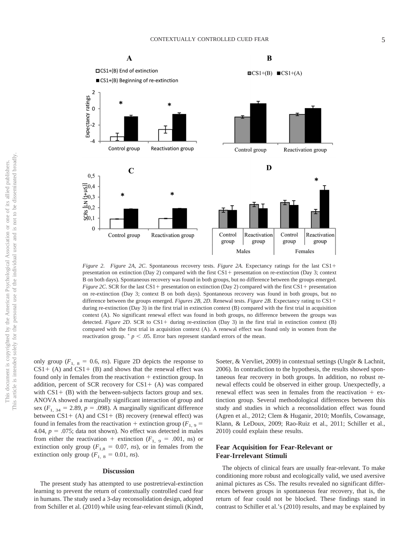

*Figure 2. Figure 2A*, *2C*. Spontaneous recovery tests. *Figure 2A.* Expectancy ratings for the last CS1 presentation on extinction (Day 2) compared with the first CS1 + presentation on re-extinction (Day 3; context B on both days). Spontaneous recovery was found in both groups, but no difference between the groups emerged. *Figure 2C*. SCR for the last CS1 + presentation on extinction (Day 2) compared with the first CS1 + presentation on re-extinction (Day 3; context B on both days). Spontaneous recovery was found in both groups, but no difference between the groups emerged. *Figures 2B, 2D*. Renewal tests. *Figure 2B*. Expectancy rating to CS1 during re-extinction (Day 3) in the first trial in extinction context (B) compared with the first trial in acquisition context (A). No significant renewal effect was found in both groups, no difference between the groups was detected. *Figure 2D*. SCR to CS1+ during re-extinction (Day 3) in the first trial in extinction context (B) compared with the first trial in acquisition context (A). A renewal effect was found only in women from the reactivation group.  $p < .05$ . Error bars represent standard errors of the mean.

only group ( $F_{1, 8} = 0.6$ , *ns*). Figure 2D depicts the response to  $CS1+$  (A) and  $CS1+$  (B) and shows that the renewal effect was found only in females from the reactivation  $+$  extinction group. In addition, percent of SCR recovery for  $CS1+$  (A) was compared with  $CS1+$  (B) with the between-subjects factors group and sex. ANOVA showed a marginally significant interaction of group and sex  $(F_{1, 34} = 2.89, p = .098)$ . A marginally significant difference between  $CS1+$  (A) and  $CS1+$  (B) recovery (renewal effect) was found in females from the reactivation  $+$  extinction group ( $F_{1,9}$ ) 4.04,  $p = .075$ ; data not shown). No effect was detected in males from either the reactivation  $+$  extinction ( $F_{1, 9} = .001$ , ns) or extinction only group ( $F_{1,8} = 0.07$ , *ns*), or in females from the extinction only group  $(F_{1, 8} = 0.01, ns)$ .

#### **Discussion**

The present study has attempted to use postretrieval-extinction learning to prevent the return of contextually controlled cued fear in humans. The study used a 3-day reconsolidation design, adopted from Schiller et al. (2010) while using fear-relevant stimuli (Kindt, Soeter, & Vervliet, 2009) in contextual settings (Ungör & Lachnit, 2006). In contradiction to the hypothesis, the results showed spontaneous fear recovery in both groups. In addition, no robust renewal effects could be observed in either group. Unexpectedly, a renewal effect was seen in females from the reactivation  $+$  extinction group. Several methodological differences between this study and studies in which a reconsolidation effect was found (Agren et al., 2012; Clem & Huganir, 2010; Monfils, Cowansage, Klann, & LeDoux, 2009; Rao-Ruiz et al., 2011; Schiller et al., 2010) could explain these results.

#### **Fear Acquisition for Fear-Relevant or Fear-Irrelevant Stimuli**

The objects of clinical fears are usually fear-relevant. To make conditioning more robust and ecologically valid, we used aversive animal pictures as CSs. The results revealed no significant differences between groups in spontaneous fear recovery, that is, the return of fear could not be blocked. These findings stand in contrast to Schiller et al.'s (2010) results, and may be explained by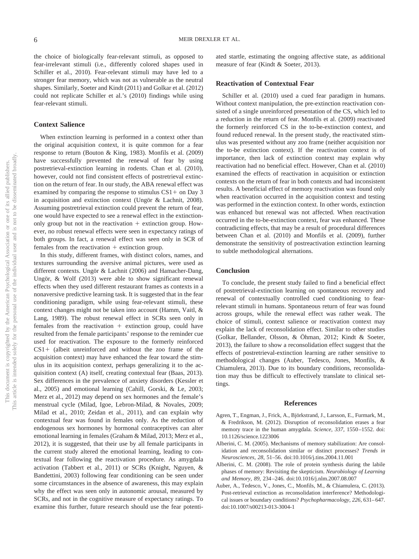the choice of biologically fear-relevant stimuli, as opposed to fear-irrelevant stimuli (i.e., differently colored shapes used in Schiller et al., 2010). Fear-relevant stimuli may have led to a stronger fear memory, which was not as vulnerable as the neutral shapes. Similarly, Soeter and Kindt (2011) and Golkar et al. (2012) could not replicate Schiller et al.'s (2010) findings while using fear-relevant stimuli.

#### **Context Salience**

When extinction learning is performed in a context other than the original acquisition context, it is quite common for a fear response to return (Bouton & King, 1983). Monfils et al. (2009) have successfully prevented the renewal of fear by using postretrieval-extinction learning in rodents. Chan et al. (2010), however, could not find consistent effects of postretrieval extinction on the return of fear. In our study, the ABA renewal effect was examined by comparing the response to stimulus  $CS1+$  on Day 3 in acquisition and extinction context (Ungör & Lachnit, 2008). Assuming postretrieval extinction could prevent the return of fear, one would have expected to see a renewal effect in the extinctiononly group but not in the reactivation  $+$  extinction group. However, no robust renewal effects were seen in expectancy ratings of both groups. In fact, a renewal effect was seen only in SCR of females from the reactivation  $+$  extinction group.

In this study, different frames, with distinct colors, names, and textures surrounding the aversive animal pictures, were used as different contexts. Ungör & Lachnit (2006) and Hamacher-Dang, Ungör, & Wolf (2013) were able to show significant renewal effects when they used different restaurant frames as contexts in a nonaversive predictive learning task. It is suggested that in the fear conditioning paradigm, while using fear-relevant stimuli, these context changes might not be taken into account (Hamm, Vaitl, & Lang, 1989). The robust renewal effect in SCRs seen only in females from the reactivation  $+$  extinction group, could have resulted from the female participants' response to the reminder cue used for reactivation. The exposure to the formerly reinforced  $CS1+$  (albeit unreinforced and without the zoo frame of the acquisition context) may have enhanced the fear toward the stimulus in its acquisition context, perhaps generalizing it to the acquisition context (A) itself, creating contextual fear (Baas, 2013). Sex differences in the prevalence of anxiety disorders (Kessler et al., 2005) and emotional learning (Cahill, Gorski, & Le, 2003; Merz et al., 2012) may depend on sex hormones and the female's menstrual cycle (Milad, Igoe, Lebron-Milad, & Novales, 2009; Milad et al., 2010; Zeidan et al., 2011), and can explain why contextual fear was found in females only. As the reduction of endogenous sex hormones by hormonal contraceptives can alter emotional learning in females (Graham & Milad, 2013; Merz et al., 2012), it is suggested, that their use by all female participants in the current study altered the emotional learning, leading to contextual fear following the reactivation procedure. As amygdala activation (Tabbert et al., 2011) or SCRs (Knight, Nguyen, & Bandettini, 2003) following fear conditioning can be seen under some circumstances in the absence of awareness, this may explain why the effect was seen only in autonomic arousal, measured by SCRs, and not in the cognitive measure of expectancy ratings. To examine this further, future research should use the fear potentiated startle, estimating the ongoing affective state, as additional measure of fear (Kindt & Soeter, 2013).

#### **Reactivation of Contextual Fear**

Schiller et al. (2010) used a cued fear paradigm in humans. Without context manipulation, the pre-extinction reactivation consisted of a single unreinforced presentation of the CS, which led to a reduction in the return of fear. Monfils et al. (2009) reactivated the formerly reinforced CS in the to-be-extinction context, and found reduced renewal. In the present study, the reactivated stimulus was presented without any zoo frame (neither acquisition nor the to-be extinction context). If the reactivation context is of importance, then lack of extinction context may explain why reactivation had no beneficial effect. However, Chan et al. (2010) examined the effects of reactivation in acquisition or extinction contexts on the return of fear in both contexts and had inconsistent results. A beneficial effect of memory reactivation was found only when reactivation occurred in the acquisition context and testing was performed in the extinction context. In other words, extinction was enhanced but renewal was not affected. When reactivation occurred in the to-be-extinction context, fear was enhanced. These contradicting effects, that may be a result of procedural differences between Chan et al. (2010) and Monfils et al. (2009), further demonstrate the sensitivity of postreactivation extinction learning to subtle methodological alternations.

#### **Conclusion**

To conclude, the present study failed to find a beneficial effect of postretrieval-extinction learning on spontaneous recovery and renewal of contextually controlled cued conditioning to fearrelevant stimuli in humans. Spontaneous return of fear was found across groups, while the renewal effect was rather weak. The choice of stimuli, context salience or reactivation context may explain the lack of reconsolidation effect. Similar to other studies (Golkar, Bellander, Olsson, & Öhman, 2012; Kindt & Soeter, 2013), the failure to show a reconsolidation effect suggest that the effects of postretrieval-extinction learning are rather sensitive to methodological changes (Auber, Tedesco, Jones, Monfils, & Chiamulera, 2013). Due to its boundary conditions, reconsolidation may thus be difficult to effectively translate to clinical settings.

#### **References**

- Agren, T., Engman, J., Frick, A., Björkstrand, J., Larsson, E., Furmark, M., & Fredrikson, M. (2012). Disruption of reconsolidation erases a fear memory trace in the human amygdala. *Science, 337,* 1550 –1552. doi: 10.1126/science.1223006
- Alberini, C. M. (2005). Mechanisms of memory stabilization: Are consolidation and reconsolidation similar or distinct processes? *Trends in Neurosciences, 28,* 51–56. doi:10.1016/j.tins.2004.11.001
- Alberini, C. M. (2008). The role of protein synthesis during the labile phases of memory: Revisiting the skepticism. *Neurobiology of Learning and Memory, 89,* 234 –246. doi:10.1016/j.nlm.2007.08.007
- Auber, A., Tedesco, V., Jones, C., Monfils, M., & Chiamulera, C. (2013). Post-retrieval extinction as reconsolidation interference? Methodological issues or boundary conditions? *Psychopharmacology*, 226, 631-647. doi:10.1007/s00213-013-3004-1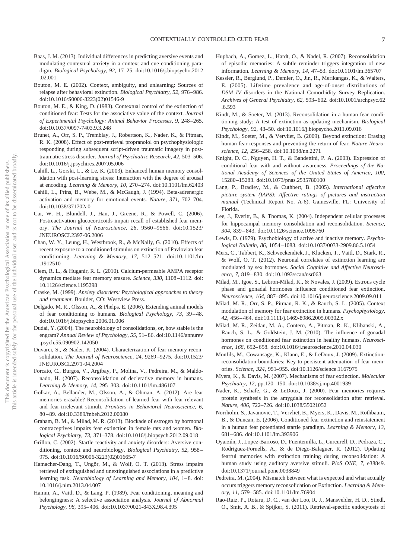- Baas, J. M. (2013). Individual differences in predicting aversive events and modulating contextual anxiety in a context and cue conditioning paradigm. *Biological Psychology, 92,* 17–25. doi:10.1016/j.biopsycho.2012 .02.001
- Bouton, M. E. (2002). Context, ambiguity, and unlearning: Sources of relapse after behavioral extinction. *Biological Psychiatry, 52,* 976 –986. doi:10.1016/S0006-3223(02)01546-9
- Bouton, M. E., & King, D. (1983). Contextual control of the extinction of conditioned fear: Tests for the associative value of the context. *Journal of Experimental Psychology: Animal Behavior Processes, 9,* 248 –265. doi:10.1037/0097-7403.9.3.248
- Brunet, A., Orr, S. P., Tremblay, J., Robertson, K., Nader, K., & Pitman, R. K. (2008). Effect of post-retrieval propranolol on psychophysiologic responding during subsequent script-driven traumatic imagery in posttraumatic stress disorder. *Journal of Psychiatric Research, 42,* 503–506. doi:10.1016/j.jpsychires.2007.05.006
- Cahill, L., Gorski, L., & Le, K. (2003). Enhanced human memory consolidation with post-learning stress: Interaction with the degree of arousal at encoding. *Learning & Memory, 10,* 270 –274. doi:10.1101/lm.62403
- Cahill, L., Prins, B., Webe, M., & McGaugh, J. (1994). Beta-adrenergic activation and memory for emotional events. *Nature, 371,* 702–704. doi:10.1038/371702a0
- Cai, W. H., Blundell, J., Han, J., Greene, R., & Powell, C. (2006). Postreactivation glucocorticoids impair recall of established fear memory. *The Journal of Neuroscience, 26,* 9560 –9566. doi:10.1523/ JNEUROSCI.2397-06.2006
- Chan, W. Y., Leung, H., Westbrook, R., & McNally, G. (2010). Effects of recent exposure to a conditioned stimulus on extinction of Pavlovian fear conditioning. *Learning & Memory, 17,* 512–521. doi:10.1101/lm .1912510
- Clem, R. L., & Huganir, R. L. (2010). Calcium-permeable AMPA receptor dynamics mediate fear memory erasure. *Science, 330,* 1108 –1112. doi: 10.1126/science.1195298
- Craske, M. (1999). *Anxiety disorders: Psychological approaches to theory and treatment*. Boulder, CO: Westview Press.
- Delgado, M. R., Olsson, A., & Phelps, E. (2006). Extending animal models of fear conditioning to humans. *Biological Psychology, 73,* 39 – 48. doi:10.1016/j.biopsycho.2006.01.006
- Dudai, Y. (2004). The neurobiology of consolidations, or, how stable is the engram? *Annual Review of Psychology, 55,* 51– 86. doi:10.1146/annurev .psych.55.090902.142050
- Duvarci, S., & Nader, K. (2004). Characterization of fear memory reconsolidation. *The Journal of Neuroscience, 24,* 9269 –9275. doi:10.1523/ JNEUROSCI.2971-04.2004
- Forcato, C., Burgos, V., Argibay, P., Molina, V., Pedreira, M., & Maldonado, H. (2007). Reconsolidation of declerative memory in humans. *Learning & Memory, 14,* 295–303. doi:10.1101/lm.486107
- Golkar, A., Bellander, M., Olsson, A., & Öhman, A. (2012). Are fear memories erasable? Reconsolidation of learned fear with fear-relevant and fear-irrelevant stimuli. *Frontiers in Behavioral Neuroscience, 6,* 80 – 89. doi:10.3389/fnbeh.2012.00080
- Graham, B. M., & Milad, M. R. (2013). Blockade of estrogen by hormonal contraceptives impairs fear extinction in female rats and women. *Biological Psychiatry, 73,* 371–378. doi:10.1016/j.biopsych.2012.09.018
- Grillon, C. (2002). Startle reactivity and anxiety disorders: Aversive conditioning, context and neurobiology. *Biological Psychiatry, 52,* 958 – 975. doi:10.1016/S0006-3223(02)01665-7
- Hamacher-Dang, T., Ungör, M., & Wolf, O. T. (2013). Stress impairs retrieval of extinguished and unextinguished associations in a predictive learning task. *Neurobiology of Learning and Memory, 104, 1-8.* doi: 10.1016/j.nlm.2013.04.007
- Hamm, A., Vaitl, D., & Lang, P. (1989). Fear conditioning, meaning and belongingness: A selective association analysis. *Journal of Abnormal Psychology, 98,* 395– 406. doi:10.1037/0021-843X.98.4.395
- Hupbach, A., Gomez, L., Hardt, O., & Nadel, R. (2007). Reconsolidation of episodic memories: A subtle reminder triggers integration of new information. *Learning & Memory, 14,* 47–53. doi:10.1101/lm.365707
- Kessler, R., Berglund, P., Demler, O., Jin, R., Merikangas, K., & Walters, E. (2005). Lifetime prevalence and age-of-onset distributions of *DSM–IV* disorders in the National Comorbidity Survey Replication. *Archives of General Psychiatry, 62,* 593– 602. doi:10.1001/archpsyc.62 .6.593
- Kindt, M., & Soeter, M. (2013). Reconsolidation in a human fear conditioning study: A test of extinction as updating mechanism. *Biological Psychology, 92,* 43–50. doi:10.1016/j.biopsycho.2011.09.016
- Kindt, M., Soeter, M., & Vervliet, B. (2009). Beyond extinction: Erasing human fear responses and preventing the return of fear. *Nature Neuroscience, 12,* 256 –258. doi:10.1038/nn.2271
- Knight, D. C., Nguyen, H. T., & Bandettini, P. A. (2003). Expression of conditional fear with and without awareness. *Proceedings of the National Academy of Sciences of the United States of America, 100,* 15280 –15283. doi:10.1073/pnas.2535780100
- Lang, P., Bradley, M., & Cuthbert, B. (2005). *International affective picture system (IAPS): Affective ratings of pictures and instruction manual* (Technical Report No. A-6). Gainesville, FL: University of Florida.
- Lee, J., Everitt, B., & Thomas, K. (2004). Independent cellular processes for hippocampal memory consolidation and reconsolidation. *Science, 304,* 839 – 843. doi:10.1126/science.1095760
- Lewis, D. (1979). Psychobiology of active and inactive memory. *Psychological Bulletin, 86,* 1054 –1083. doi:10.1037/0033-2909.86.5.1054
- Merz, C., Tabbert, K., Schweckendiek, J., Klucken, T., Vaitl, D., Stark, R., & Wolf, O. T. (2012). Neuronal correlates of extinction learning are modulated by sex hormones. *Social Cognitive and Affective Neuroscience, 7,* 819 – 830. doi:10.1093/scan/nsr063
- Milad, M., Igoe, S., Lebron-Milad, K., & Novales, J. (2009). Estrous cycle phase and gonadal hormones influence conditioned fear extinction. *Neuroscience, 164,* 887– 895. doi:10.1016/j.neuroscience.2009.09.011
- Milad, M. R., Orr, S. P., Pitman, R. K., & Rauch, S. L. (2005). Context modulation of memory for fear extinction in humans. *Psychophysiology, 42,* 456 – 464. doi:10.1111/j.1469-8986.2005.00302.x
- Milad, M. R., Zeidan, M. A., Contero, A., Pitman, R. K., Klibanski, A., Rauch, S. L., & Goldstein, J. M. (2010). The influence of gonadal hormones on conditioned fear extinction in healthy humans. *Neuroscience, 168,* 652– 658. doi:10.1016/j.neuroscience.2010.04.030
- Monfils, M., Cowansage, K., Klann, E., & LeDoux, J. (2009). Extinctionreconsolidation boundaries: Key to persistent attenuation of fear memories. *Science, 324,* 951–955. doi:10.1126/science.1167975
- Myers, K., & Davis, M. (2007). Mechanisms of fear extinction. *Molecular Psychiatry, 12,* pp.120 –150. doi:10.1038/sj.mp.4001939
- Nader, K., Schafe, G., & LeDoux, J. (2000). Fear memories requires protein synthesis in the amygdala for reconsolidation after retrieval. *Nature, 406,* 722–726. doi:10.1038/35021052
- Norrholm, S., Javanovic, T., Vervliet, B., Myers, K., Davis, M., Rothbaum, B., & Duncan, E. (2006). Conditioned fear extinction and reinstatement in a human fear potentiated startle paradigm. *Learning & Memory, 13,* 681– 686. doi:10.1101/lm.393906
- Oyarzún, J., Lopez-Barroso, D., Fuentemilla, L., Curcurell, D., Pedraza, C., Rodriguez-Fornells, A., & de Diego-Balaguer, R. (2012). Updating fearful memories with extinction training during reconsolidation: A human study using auditory aversive stimuli. *PloS ONE, 7,* e38849. doi:10.1371/journal.pone.0038849
- Pedreira, M. (2004). Mismatch between what is expected and what actually occurs triggers memory reconsolidation or Extinction. *Learning & Memory, 11,* 579 –585. doi:10.1101/lm.76904
- Rao-Ruiz, P., Rotaru, D. C., van der Loo, R. J., Mansvelder, H. D., Stiedl, O., Smit, A. B., & Spijker, S. (2011). Retrieval-specific endocytosis of